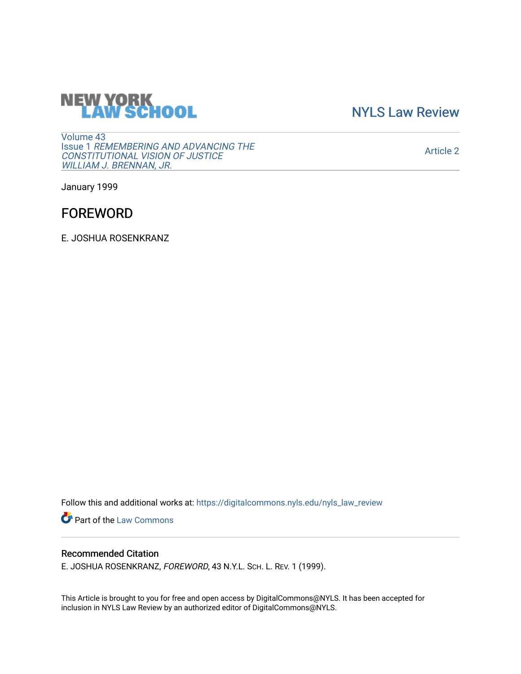# **NEW YORK<br>LAW SCHOOL**

[NYLS Law Review](https://digitalcommons.nyls.edu/nyls_law_review) 

[Volume 43](https://digitalcommons.nyls.edu/nyls_law_review/vol43) Issue 1 [REMEMBERING AND ADVANCING THE](https://digitalcommons.nyls.edu/nyls_law_review/vol43/iss1)  [CONSTITUTIONAL VISION OF JUSTICE](https://digitalcommons.nyls.edu/nyls_law_review/vol43/iss1)  [WILLIAM J. BRENNAN, JR.](https://digitalcommons.nyls.edu/nyls_law_review/vol43/iss1)

[Article 2](https://digitalcommons.nyls.edu/nyls_law_review/vol43/iss1/2) 

January 1999

## FOREWORD

E. JOSHUA ROSENKRANZ

Follow this and additional works at: [https://digitalcommons.nyls.edu/nyls\\_law\\_review](https://digitalcommons.nyls.edu/nyls_law_review?utm_source=digitalcommons.nyls.edu%2Fnyls_law_review%2Fvol43%2Fiss1%2F2&utm_medium=PDF&utm_campaign=PDFCoverPages) 

Part of the [Law Commons](https://network.bepress.com/hgg/discipline/578?utm_source=digitalcommons.nyls.edu%2Fnyls_law_review%2Fvol43%2Fiss1%2F2&utm_medium=PDF&utm_campaign=PDFCoverPages)

### Recommended Citation

E. JOSHUA ROSENKRANZ, FOREWORD, 43 N.Y.L. SCH. L. REV. 1 (1999).

This Article is brought to you for free and open access by DigitalCommons@NYLS. It has been accepted for inclusion in NYLS Law Review by an authorized editor of DigitalCommons@NYLS.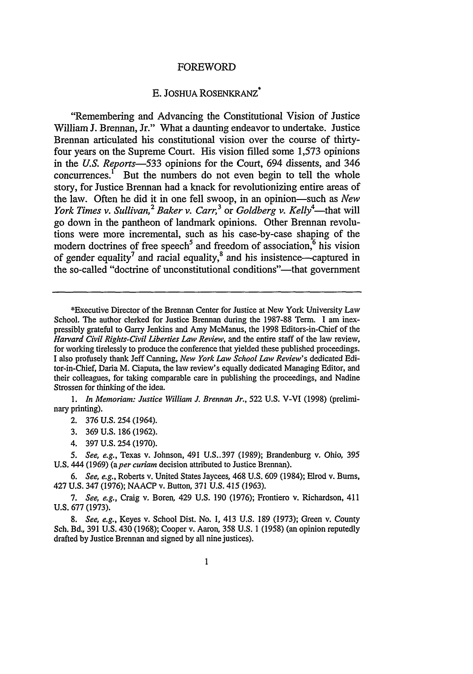#### FOREWORD

#### E. JOSHUA ROSENKRANZ\*

"Remembering and Advancing the Constitutional Vision of Justice William J. Brennan, Jr." What a daunting endeavor to undertake. Justice Brennan articulated his constitutional vision over the course of thirtyfour years on the Supreme Court. His vision filled some 1,573 opinions in the *U.S. Reports-533* opinions for the Court, 694 dissents, and 346  $concurrentes.<sup>1</sup>$  But the numbers do not even begin to tell the whole story, for Justice Brennan had a knack for revolutionizing entire areas of the law. Often he did it in one fell swoop, in an opinion-such as *New York Times v. Sullivan,<sup>2</sup> Baker v. Carr*,<sup>3</sup> or *Goldberg v. Kelly*<sup>4</sup>—that will go down in the pantheon of landmark opinions. Other Brennan revolutions were more incremental, such as his case-by-case shaping of the modern doctrines of free speech<sup>5</sup> and freedom of association, $6$  his vision of gender equality<sup>7</sup> and racial equality, $\frac{8}{3}$  and his insistence—captured in the so-called "doctrine of unconstitutional conditions"—that government

\*Executive Director of the Brennan Center for Justice at New York University Law School. The author clerked for Justice Brennan during the 1987-88 Term. I am inexpressibly grateful to Garry Jenkins and Amy McManus, the 1998 Editors-in-Chief of the *Harvard Civil Rights-Civil Liberties Law Review,* and the entire staff of the law review, for working tirelessly to produce the conference that yielded these published proceedings. I also profusely thank Jeff Canning, *New York Law School Law Review's* dedicated Editor-in-Chief, Daria M. Ciaputa, the law review's equally dedicated Managing Editor, and their colleagues, for taking comparable care in publishing the proceedings, and Nadine Strossen for thinking of the idea.

*1. In Memoriam: Justice William J. Brennan Jr.,* 522 U.S. V-VI (1998) (preliminary printing).

2. **376** U.S. 254 (1964).

3. 369 U.S. 186 (1962).

4. 397 U.S. 254 (1970).

*5. See, e.g.,* Texas v. Johnson, 491 U.S..397 (1989); Brandenburg v. Ohio, 395 U.S. 444 (1969) *(a per curiam* decision attributed to Justice Brennan).

*6. See, e.g.,* Roberts v. United States Jaycees, 468 U.S. 609 (1984); Elrod v. Bums, 427 U.S. 347 (1976); NAACP v. Button, 371 U.S. *415* (1963).

*7. See, e.g.,* Craig v. Boren, 429 U.S. 190 (1976); Frontiero v. Richardson, 411 U.S. 677 (1973).

*8. See, e.g.,* Keyes v. School Dist. No. **1,** 413 U.S. 189 (1973); Green v. County Sch. Bd., 391 U.S. 430 (1968); Cooper v. Aaron, 358 U.S. 1 (1958) (an opinion reputedly drafted by Justice Brennan and signed by all nine justices).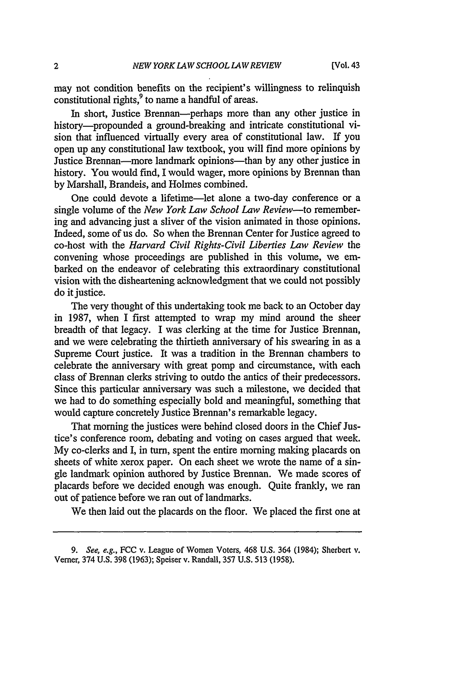may not condition benefits on the recipient's willingness to relinquish constitutional rights,<sup>9</sup> to name a handful of areas.

In short, Justice Brennan-perhaps more than any other justice in history-propounded a ground-breaking and intricate constitutional vision that influenced virtually every area of constitutional law. If you open up any constitutional law textbook, you will find more opinions by Justice Brennan-more landmark opinions-than by any other justice in history. You would find, I would wager, more opinions by Brennan than by Marshall, Brandeis, and Holmes combined.

One could devote a lifetime-let alone a two-day conference or a single volume of the *New York Law School Law Review-to* remembering and advancing just a sliver of the vision animated in those opinions. Indeed, some of us do. So when the Brennan Center for Justice agreed to co-host with the *Harvard Civil Rights-Civil Liberties Law Review* the convening whose proceedings are published in this volume, we embarked on the endeavor of celebrating this extraordinary constitutional vision with the disheartening acknowledgment that we could not possibly do it justice.

The very thought of this undertaking took me back to an October day in 1987, when I first attempted to wrap my mind around the sheer breadth of that legacy. I was clerking at the time for Justice Brennan, and we were celebrating the thirtieth anniversary of his swearing in as a Supreme Court justice. It was a tradition in the Brennan chambers to celebrate the anniversary with great pomp and circumstance, with each class of Brennan clerks striving to outdo the antics of their predecessors. Since this particular anniversary was such a milestone, we decided that we had to do something especially bold and meaningful, something that would capture concretely Justice Brennan's remarkable legacy.

That morning the justices were behind closed doors in the Chief Justice's conference room, debating and voting on cases argued that week. My co-clerks and I, in turn, spent the entire morning making placards on sheets of white xerox paper. On each sheet we wrote the name of a single landmark opinion authored by Justice Brennan. We made scores of placards before we decided enough was enough. Quite frankly, we ran out of patience before we ran out of landmarks.

We then laid out the placards on the floor. We placed the first one at

<sup>9.</sup> See, e.g., FCC v. League of Women Voters, 468 U.S. 364 (1984); Sherbert v. Verner, 374 U.S. 398 (1963); Speiser v. Randall, 357 U.S. 513 (1958).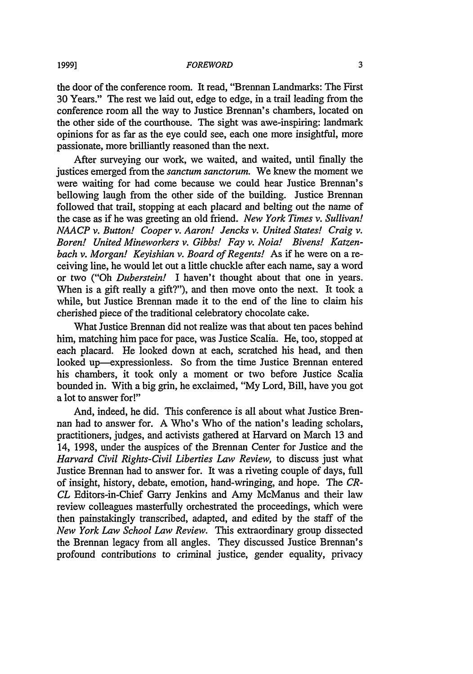#### *FOREWORD*

the door of the conference room. It read, "Brennan Landmarks: The First 30 Years." The rest we laid out, edge to edge, in a trail leading from the conference room all the way to Justice Brennan's chambers, located on the other side of the courthouse. The sight was awe-inspiring: landmark opinions for as far as the eye could see, each one more insightful, more passionate, more brilliantly reasoned than the next.

After surveying our work, we waited, and waited, until finally the justices emerged from the *sanctum sanctorum.* We knew the moment we were waiting for had come because we could hear Justice Brennan's bellowing laugh from the other side of the building. Justice Brennan followed that trail, stopping at each placard and belting out the name of the case as if he was greeting an old friend. *New York Times v. Sullivan! NAACP v. Button! Cooper v. Aaron! Jencks v. United States! Craig v. Boren! United Mineworkers v. Gibbs! Fay v. Noia! Bivens! Katzenbach v. Morgan! Keyishian v. Board of Regents!* As if he were on a receiving line, he would let out a little chuckle after each name, say a word or two ("Oh *Duberstein!* I haven't thought about that one in years. When is a gift really a gift?"), and then move onto the next. It took a while, but Justice Brennan made it to the end of the line to claim his cherished piece of the traditional celebratory chocolate cake.

What Justice Brennan did not realize was that about ten paces behind him, matching him pace for pace, was Justice Scalia. He, too, stopped at each placard. He looked down at each, scratched his head, and then looked up-expressionless. So from the time Justice Brennan entered his chambers, it took only a moment or two before Justice Scalia bounded in. With a big grin, he exclaimed, "My Lord, Bill, have you got a lot to answer for!"

And, indeed, he did. This conference is all about what Justice Brennan had to answer for. A Who's Who of the nation's leading scholars, practitioners, judges, and activists gathered at Harvard on March 13 and 14, 1998, under the auspices of the Brennan Center for Justice and the *Harvard Civil Rights-Civil Liberties Law Review,* to discuss just what Justice Brennan had to answer for. It was a riveting couple of days, full of insight, history, debate, emotion, hand-wringing, and hope. The *CR-CL* Editors-in-Chief Garry Jenkins and Amy McManus and their law review colleagues masterfully orchestrated the proceedings, which were then painstakingly transcribed, adapted, and edited by the staff of the *New York Law School Law Review.* This extraordinary group dissected the Brennan legacy from all angles. They discussed Justice Brennan's profound contributions to criminal justice, gender equality, privacy

**1999]**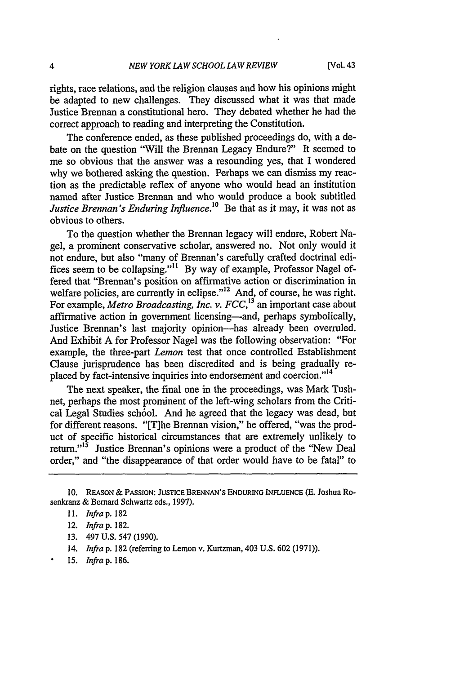rights, race relations, and the religion clauses and how his opinions might be adapted to new challenges. They discussed what it was that made Justice Brennan a constitutional hero. They debated whether he had the correct approach to reading and interpreting the Constitution.

The conference ended, as these published proceedings do, with a debate on the question "Will the Brennan Legacy Endure?" It seemed to me so obvious that the answer was a resounding yes, that I wondered why we bothered asking the question. Perhaps we can dismiss my reaction as the predictable reflex of anyone who would head an institution named after Justice Brennan and who would produce a book subtitled *Justice Brennan's Enduring Influence.l0* Be that as it may, it was not as obvious to others.

To the question whether the Brennan legacy will endure, Robert Nagel, a prominent conservative scholar, answered no. Not only would it not endure, but also "many of Brennan's carefully crafted doctrinal edifices seem to be collapsing."'1 By way of example, Professor Nagel offered that "Brennan's position on affirmative action or discrimination in welfare policies, are currently in eclipse."<sup>12</sup> And, of course, he was right. For example, *Metro Broadcasting, Inc. v. FCC,13* an important case about affirmative action in government licensing-and, perhaps symbolically, Justice Brennan's last majority opinion-has already been overruled. And Exhibit A for Professor Nagel was the following observation: "For example, the three-part *Lemon* test that once controlled Establishment Clause jurisprudence has been discredited and is being gradually replaced by fact-intensive inquiries into endorsement and coercion."<sup>14</sup>

The next speaker, the final one in the proceedings, was Mark Tushnet, perhaps the most prominent of the left-wing scholars from the Critical Legal Studies school. And he agreed that the legacy was dead, but for different reasons. "[T]he Brennan vision," he offered, "was the product of specific historical circumstances that are extremely unlikely to return."<sup>15</sup> Justice Brennan's opinions were a product of the "New Deal order," and "the disappearance of that order would have to be fatal" to

- 13. 497 U.S. 547 (1990).
- 14. *Infra* p. 182 (referring to Lemon v. Kurtzman, 403 U.S. 602 (1971)).
- 15. *Infra* p. 186.

**<sup>10.</sup>** REASON & PASSION: JUSTICE BRENNAN'S ENDURING **INFLUENCE (E.** Joshua Rosenkranz *&* Bernard Schwartz eds., **1997).**

<sup>11.</sup> *Infrap.* 182

<sup>12.</sup> *Infrap.* 182.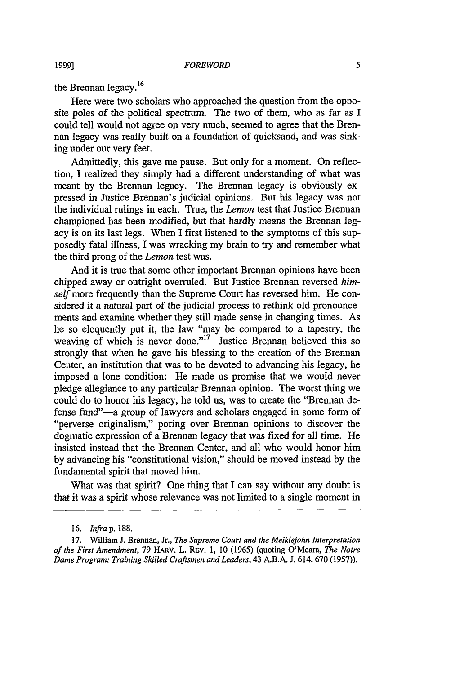the Brennan legacy.<sup>16</sup>

Here were two scholars who approached the question from the opposite poles of the political spectrum. The two of them, who as far as I could tell would not agree on very much, seemed to agree that the Brennan legacy was really built on a foundation of quicksand, and was sinking under our very feet.

Admittedly, this gave me pause. But only for a moment. On reflection, I realized they simply had a different understanding of what was meant by the Brennan legacy. The Brennan legacy is obviously expressed in Justice Brennan's judicial opinions. But his legacy was not the individual rulings in each. True, the *Lemon* test that Justice Brennan championed has been modified, but that hardly means the Brennan legacy is on its last legs. When I first listened to the symptoms of this supposedly fatal illness, I was wracking my brain to try and remember what the third prong of the *Lemon* test was.

And it is true that some other important Brennan opinions have been chipped away or outright overruled. But Justice Brennan reversed *himself* more frequently than the Supreme Court has reversed him. He considered it a natural part of the judicial process to rethink old pronouncements and examine whether they still made sense in changing times. As he so eloquently put it, the law "may be compared to a tapestry, the weaving of which is never done."<sup>17</sup> Justice Brennan believed this so strongly that when he gave his blessing to the creation of the Brennan Center, an institution that was to be devoted to advancing his legacy, he imposed a lone condition: He made us promise that we would never pledge allegiance to any particular Brennan opinion. The worst thing we could do to honor his legacy, he told us, was to create the "Brennan defense fund"—a group of lawyers and scholars engaged in some form of "perverse originalism," poring over Brennan opinions to discover the dogmatic expression of a Brennan legacy that was fixed for all time. He insisted instead that the Brennan Center, and all who would honor him by advancing his "constitutional vision," should be moved instead by the fundamental spirit that moved him.

What was that spirit? One thing that I can say without any doubt is that it was a spirit whose relevance was not limited to a single moment in

<sup>16.</sup> *Infra* p. 188.

<sup>17.</sup> William **J.** Brennan, Jr., *The Supreme Court and the Meiklejohn Interpretation of the First Amendment,* 79 HARv. L. REv. 1, **10** (1965) (quoting O'Meara, *The Notre Dame Program: Training Skilled Craftsmen and Leaders,* 43 A.B.A. J. 614, 670 (1957)).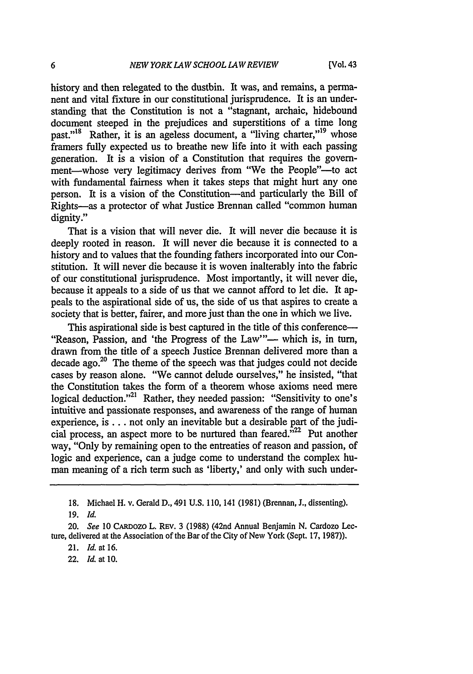history and then relegated to the dustbin. It was, and remains, a permanent and vital fixture in our constitutional jurisprudence. It is an understanding that the Constitution is not a "stagnant, archaic, hidebound document steeped in the prejudices and superstitions of a time long past."<sup>18</sup> Rather, it is an ageless document, a "living charter,"<sup>19</sup> whose framers fully expected us to breathe new life into it with each passing generation. It is a vision of a Constitution that requires the government-whose very legitimacy derives from "We the People"-- to act with fundamental fairness when it takes steps that might hurt any one person. It is a vision of the Constitution—and particularly the Bill of Rights-as a protector of what Justice Brennan called "common human dignity."

That is a vision that will never die. It will never die because it is deeply rooted in reason. It will never die because it is connected to a history and to values that the founding fathers incorporated into our Constitution. It will never die because it is woven inalterably into the fabric of our constitutional jurisprudence. Most importantly, it will never die, because it appeals to a side of us that we cannot afford to let die. It appeals to the aspirational side of us, the side of us that aspires to create a society that is better, fairer, and more just than the one in which we live.

This aspirational side is best captured in the title of this conference— "Reason, Passion, and 'the Progress of the Law"-- which is, in turn, drawn from the title of a speech Justice Brennan delivered more than a decade ago.<sup>20</sup> The theme of the speech was that judges could not decide cases by reason alone. "We cannot delude ourselves," he insisted, "that the Constitution takes the form of a theorem whose axioms need mere logical deduction."<sup>21</sup> Rather, they needed passion: "Sensitivity to one's intuitive and passionate responses, and awareness of the range of human experience, is... not only an inevitable but a desirable part of the judicial process, an aspect more to be nurtured than feared. $^{322}$  Put another way, "Only by remaining open to the entreaties of reason and passion, of logic and experience, can a judge come to understand the complex human meaning of a rich term such as 'liberty,' and only with such under-

22. *Id.* at 10.

<sup>18.</sup> Michael H. v. Gerald D., 491 U.S. 110, 141 (1981) (Brennan, J., dissenting).

**<sup>19.</sup>** *Id.*

*<sup>20.</sup> See* 10 CARDOZO L. REv. 3 (1988) (42nd Annual Benjamin N. Cardozo Lecture, delivered at the Association of the Bar of the City of New York (Sept. 17, 1987)).

<sup>21.</sup> *Id.* at 16.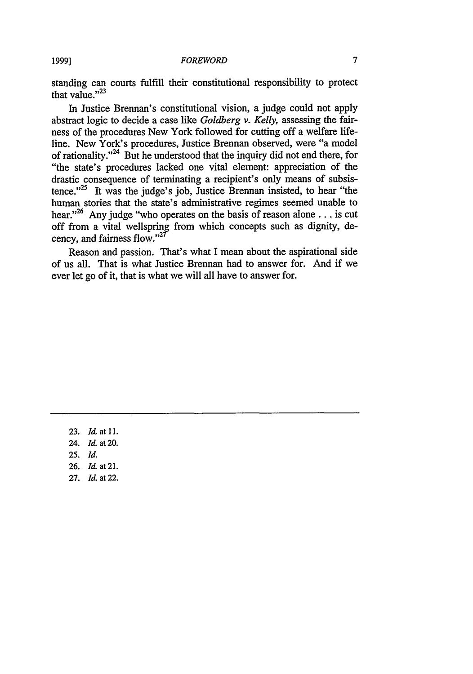standing can courts fulfill their constitutional responsibility to protect that value."<sup>23</sup>

In Justice Brennan's constitutional vision, a judge could not apply abstract logic to decide a case like *Goldberg v. Kelly,* assessing the fairness of the procedures New York followed for cutting off a welfare lifeline. New York's procedures, Justice Brennan observed, were "a model of rationality."<sup>24</sup> But he understood that the inquiry did not end there, for "the state's procedures lacked one vital element: appreciation of the drastic consequence of terminating a recipient's only means of subsistence. $125$  It was the judge's job, Justice Brennan insisted, to hear "the human stories that the state's administrative regimes seemed unable to hear."<sup>26</sup> Any judge "who operates on the basis of reason alone . . . is cut off from a vital wellspring from which concepts such as dignity, decency, and fairness flow." $27$ 

Reason and passion. That's what I mean about the aspirational side of us all. That is what Justice Brennan had to answer for. And if we ever let go of it, that is what we will all have to answer for.

23. *Id.* at **11.** 24. *Id.* at 20. **25.** *Id.* 26. *Id.* at 21. 27. *Id.* at 22.